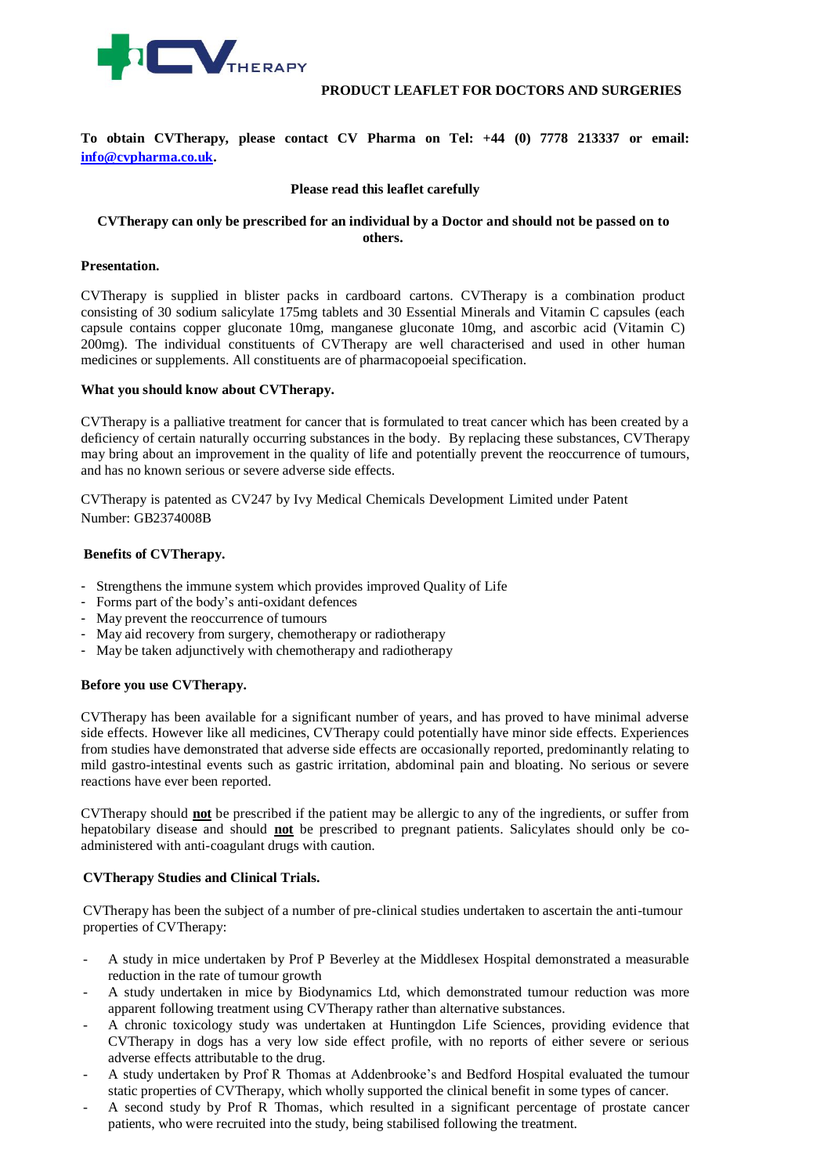

# **PRODUCT LEAFLET FOR DOCTORS AND SURGERIES**

**To obtain CVTherapy, please contact CV Pharma on Tel: +44 (0) 7778 213337 or email: [info@cvpharma.co.uk.](mailto:info@cvpharma.co.uk)**

# **Please read this leaflet carefully**

# **CVTherapy can only be prescribed for an individual by a Doctor and should not be passed on to others.**

### **Presentation.**

CVTherapy is supplied in blister packs in cardboard cartons. CVTherapy is a combination product consisting of 30 sodium salicylate 175mg tablets and 30 Essential Minerals and Vitamin C capsules (each capsule contains copper gluconate 10mg, manganese gluconate 10mg, and ascorbic acid (Vitamin C) 200mg). The individual constituents of CVTherapy are well characterised and used in other human medicines or supplements. All constituents are of pharmacopoeial specification.

#### **What you should know about CVTherapy.**

CVTherapy is a palliative treatment for cancer that is formulated to treat cancer which has been created by a deficiency of certain naturally occurring substances in the body. By replacing these substances, CVTherapy may bring about an improvement in the quality of life and potentially prevent the reoccurrence of tumours, and has no known serious or severe adverse side effects.

CVTherapy is patented as CV247 by Ivy Medical Chemicals Development Limited under Patent Number: GB2374008B

# **Benefits of CVTherapy.**

- Strengthens the immune system which provides improved Quality of Life
- Forms part of the body's anti-oxidant defences
- May prevent the reoccurrence of tumours
- May aid recovery from surgery, chemotherapy or radiotherapy
- May be taken adjunctively with chemotherapy and radiotherapy

#### **Before you use CVTherapy.**

CVTherapy has been available for a significant number of years, and has proved to have minimal adverse side effects. However like all medicines, CVTherapy could potentially have minor side effects. Experiences from studies have demonstrated that adverse side effects are occasionally reported, predominantly relating to mild gastro-intestinal events such as gastric irritation, abdominal pain and bloating. No serious or severe reactions have ever been reported.

CVTherapy should **not** be prescribed if the patient may be allergic to any of the ingredients, or suffer from hepatobilary disease and should **not** be prescribed to pregnant patients. Salicylates should only be coadministered with anti-coagulant drugs with caution.

### **CVTherapy Studies and Clinical Trials.**

CVTherapy has been the subject of a number of pre-clinical studies undertaken to ascertain the anti-tumour properties of CVTherapy:

- A study in mice undertaken by Prof P Beverley at the Middlesex Hospital demonstrated a measurable reduction in the rate of tumour growth
- A study undertaken in mice by Biodynamics Ltd, which demonstrated tumour reduction was more apparent following treatment using CVTherapy rather than alternative substances.
- A chronic toxicology study was undertaken at Huntingdon Life Sciences, providing evidence that CVTherapy in dogs has a very low side effect profile, with no reports of either severe or serious adverse effects attributable to the drug.
- A study undertaken by Prof R Thomas at Addenbrooke's and Bedford Hospital evaluated the tumour static properties of CVTherapy, which wholly supported the clinical benefit in some types of cancer.
- A second study by Prof R Thomas, which resulted in a significant percentage of prostate cancer patients, who were recruited into the study, being stabilised following the treatment.